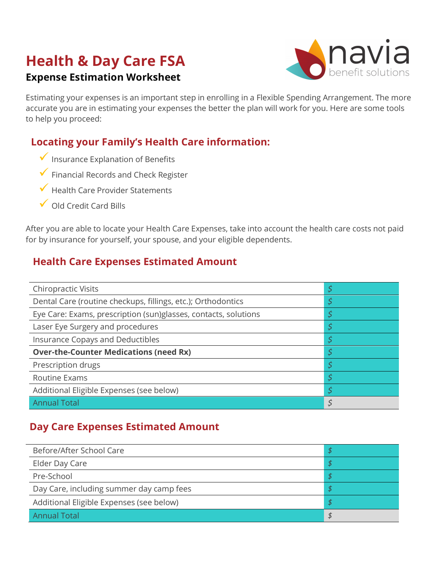## **Health & Day Care FSA**

# **navia**

#### **Expense Estimation Worksheet**

Estimating your expenses is an important step in enrolling in a Flexible Spending Arrangement. The more accurate you are in estimating your expenses the better the plan will work for you. Here are some tools to help you proceed:

#### **Locating your Family's Health Care information:**

- $\checkmark$  Insurance Explanation of Benefits
- **V** Financial Records and Check Register
- $\checkmark$  Health Care Provider Statements
- Old Credit Card Bills

After you are able to locate your Health Care Expenses, take into account the health care costs not paid for by insurance for yourself, your spouse, and your eligible dependents.

## **Health Care Expenses Estimated Amount**

| <b>Chiropractic Visits</b>                                      |   |
|-----------------------------------------------------------------|---|
| Dental Care (routine checkups, fillings, etc.); Orthodontics    |   |
| Eye Care: Exams, prescription (sun)glasses, contacts, solutions |   |
| Laser Eye Surgery and procedures                                |   |
| Insurance Copays and Deductibles                                |   |
| <b>Over-the-Counter Medications (need Rx)</b>                   |   |
| Prescription drugs                                              | Ş |
| <b>Routine Exams</b>                                            |   |
| Additional Eligible Expenses (see below)                        |   |
| <b>Annual Total</b>                                             |   |

### **Day Care Expenses Estimated Amount**

| Before/After School Care                 |  |
|------------------------------------------|--|
| Elder Day Care                           |  |
| Pre-School                               |  |
| Day Care, including summer day camp fees |  |
| Additional Eligible Expenses (see below) |  |
| <b>Annual Total</b>                      |  |